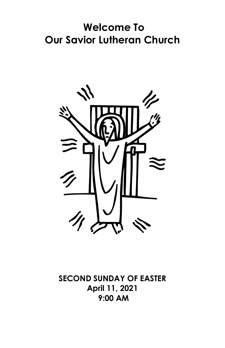# **Welcome To Our Savior Lutheran Church**



**SECOND SUNDAY OF EASTER April 11, 2021 9:00 AM**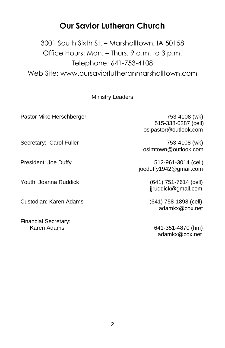#### **Our Savior Lutheran Church**

3001 South Sixth St. – Marshalltown, IA 50158 Office Hours: Mon. – Thurs. 9 a.m. to 3 p.m. Telephone: 641-753-4108 Web Site: [www.oursaviorlutheranmarshalltown.com](http://www.oursaviorluth-marshalltown.org/)

#### Ministry Leaders

Pastor Mike Herschberger 753-4108 (wk)

 515-338-0287 (cell) oslpastor@outlook.com

oslmtown@outlook.com

President: Joe Duffy 512-961-3014 (cell) joeduffy1942@gmail.com

jjruddick@gmail.com

adamkx@cox.net

Karen Adams 641-351-4870 (hm) adamkx@cox.net

Secretary: Carol Fuller 753-4108 (wk)

Youth: Joanna Ruddick (641) 751-7614 (cell)

Custodian: Karen Adams (641) 758-1898 (cell)

Financial Secretary: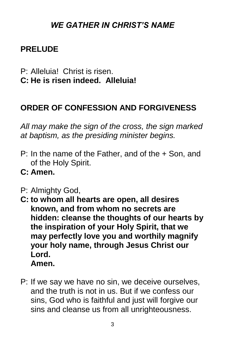# *WE GATHER IN CHRIST'S NAME*

# **PRELUDE**

- P: Alleluia! Christ is risen.
- **C: He is risen indeed. Alleluia!**

# **ORDER OF CONFESSION AND FORGIVENESS**

*All may make the sign of the cross, the sign marked at baptism, as the presiding minister begins.*

- P: In the name of the Father, and of the + Son, and of the Holy Spirit.
- **C: Amen.**
- P: Almighty God,
- **C: to whom all hearts are open, all desires known, and from whom no secrets are hidden: cleanse the thoughts of our hearts by the inspiration of your Holy Spirit, that we may perfectly love you and worthily magnify your holy name, through Jesus Christ our Lord. Amen.**
- P: If we say we have no sin, we deceive ourselves, and the truth is not in us. But if we confess our sins, God who is faithful and just will forgive our sins and cleanse us from all unrighteousness.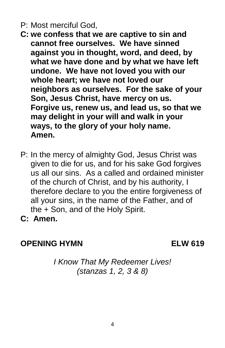- P: Most merciful God,
- **C: we confess that we are captive to sin and cannot free ourselves. We have sinned against you in thought, word, and deed, by what we have done and by what we have left undone. We have not loved you with our whole heart; we have not loved our neighbors as ourselves. For the sake of your Son, Jesus Christ, have mercy on us. Forgive us, renew us, and lead us, so that we may delight in your will and walk in your ways, to the glory of your holy name. Amen.**
- P: In the mercy of almighty God, Jesus Christ was given to die for us, and for his sake God forgives us all our sins. As a called and ordained minister of the church of Christ, and by his authority, I therefore declare to you the entire forgiveness of all your sins, in the name of the Father, and of the + Son, and of the Holy Spirit.
- **C: Amen.**

#### **OPENING HYMN ELW 619**

*I Know That My Redeemer Lives! (stanzas 1, 2, 3 & 8)*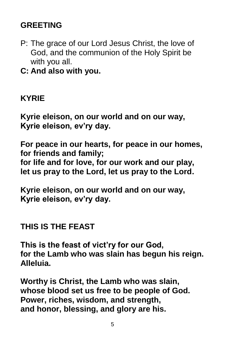# **GREETING**

- P: The grace of our Lord Jesus Christ, the love of God, and the communion of the Holy Spirit be with you all.
- **C: And also with you.**

#### **KYRIE**

**Kyrie eleison, on our world and on our way, Kyrie eleison, ev'ry day.**

**For peace in our hearts, for peace in our homes, for friends and family; for life and for love, for our work and our play, let us pray to the Lord, let us pray to the Lord.**

**Kyrie eleison, on our world and on our way, Kyrie eleison, ev'ry day.**

#### **THIS IS THE FEAST**

**This is the feast of vict'ry for our God, for the Lamb who was slain has begun his reign. Alleluia.**

**Worthy is Christ, the Lamb who was slain, whose blood set us free to be people of God. Power, riches, wisdom, and strength, and honor, blessing, and glory are his.**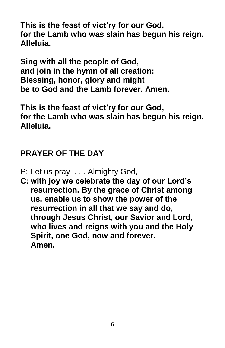**This is the feast of vict'ry for our God, for the Lamb who was slain has begun his reign. Alleluia.**

**Sing with all the people of God, and join in the hymn of all creation: Blessing, honor, glory and might be to God and the Lamb forever. Amen.**

**This is the feast of vict'ry for our God, for the Lamb who was slain has begun his reign. Alleluia.**

# **PRAYER OF THE DAY**

- P: Let us pray . . . Almighty God,
- **C: with joy we celebrate the day of our Lord's resurrection. By the grace of Christ among us, enable us to show the power of the resurrection in all that we say and do, through Jesus Christ, our Savior and Lord, who lives and reigns with you and the Holy Spirit, one God, now and forever. Amen.**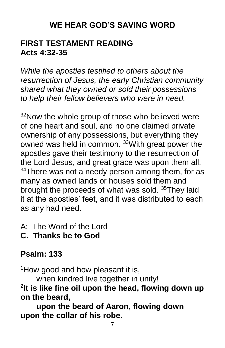# **WE HEAR GOD'S SAVING WORD**

#### **FIRST TESTAMENT READING Acts 4:32-35**

*While the apostles testified to others about the resurrection of Jesus, the early Christian community shared what they owned or sold their possessions to help their fellow believers who were in need.*

<sup>32</sup>Now the whole group of those who believed were of one heart and soul, and no one claimed private ownership of any possessions, but everything they owned was held in common. <sup>33</sup>With great power the apostles gave their testimony to the resurrection of the Lord Jesus, and great grace was upon them all.  $34$ There was not a needy person among them, for as many as owned lands or houses sold them and brought the proceeds of what was sold. <sup>35</sup>They laid it at the apostles' feet, and it was distributed to each as any had need.

- A: The Word of the Lord
- **C. Thanks be to God**

# **Psalm: 133**

<sup>1</sup>How good and how pleasant it is,

when kindred live together in unity!

2 **It is like fine oil upon the head, flowing down up on the beard,**

**upon the beard of Aaron, flowing down upon the collar of his robe.**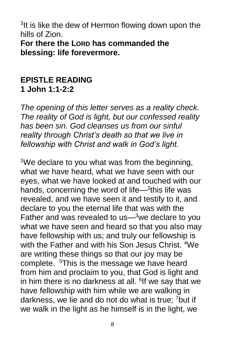<sup>3</sup>It is like the dew of Hermon flowing down upon the hills of Zion. **For there the LORD has commanded the blessing: life forevermore.**

#### **EPISTLE READING 1 John 1:1-2:2**

*The opening of this letter serves as a reality check. The reality of God is light, but our confessed reality has been sin. God cleanses us from our sinful reality through Christ's death so that we live in fellowship with Christ and walk in God's light.*

<sup>1</sup>We declare to you what was from the beginning, what we have heard, what we have seen with our eyes, what we have looked at and touched with our hands, concerning the word of life $-$ <sup>2</sup>this life was revealed, and we have seen it and testify to it, and declare to you the eternal life that was with the Father and was revealed to us—<sup>3</sup>we declare to you what we have seen and heard so that you also may have fellowship with us; and truly our fellowship is with the Father and with his Son Jesus Christ. <sup>4</sup>We are writing these things so that our joy may be complete. <sup>5</sup>This is the message we have heard from him and proclaim to you, that God is light and in him there is no darkness at all. <sup>6</sup>If we say that we have fellowship with him while we are walking in darkness, we lie and do not do what is true; <sup>7</sup>but if we walk in the light as he himself is in the light, we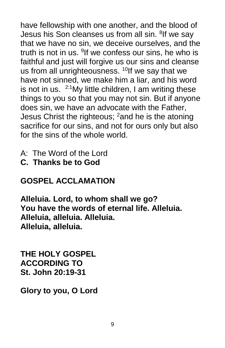have fellowship with one another, and the blood of Jesus his Son cleanses us from all sin. <sup>8</sup>lf we say that we have no sin, we deceive ourselves, and the truth is not in us. <sup>9</sup>If we confess our sins, he who is faithful and just will forgive us our sins and cleanse us from all unrighteousness.  $10$ If we say that we have not sinned, we make him a liar, and his word is not in us.  $2:1$  My little children, I am writing these things to you so that you may not sin. But if anyone does sin, we have an advocate with the Father, Jesus Christ the righteous;  $2$  and he is the atoning sacrifice for our sins, and not for ours only but also for the sins of the whole world.

- A: The Word of the Lord
- **C. Thanks be to God**

# **GOSPEL ACCLAMATION**

**Alleluia. Lord, to whom shall we go? You have the words of eternal life. Alleluia. Alleluia, alleluia. Alleluia. Alleluia, alleluia.**

**THE HOLY GOSPEL ACCORDING TO St. John 20:19-31**

**Glory to you, O Lord**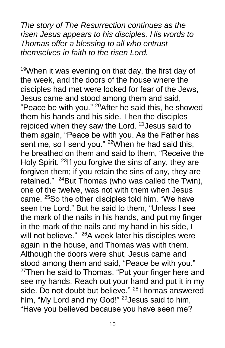*The story of The Resurrection continues as the risen Jesus appears to his disciples. His words to Thomas offer a blessing to all who entrust themselves in faith to the risen Lord.*

<sup>19</sup>When it was evening on that day, the first day of the week, and the doors of the house where the disciples had met were locked for fear of the Jews, Jesus came and stood among them and said, "Peace be with you."  $^{20}$ After he said this, he showed them his hands and his side. Then the disciples rejoiced when they saw the Lord. <sup>21</sup> Jesus said to them again, "Peace be with you. As the Father has sent me, so I send you."  $22$ When he had said this, he breathed on them and said to them, "Receive the Holy Spirit. <sup>23</sup> If you forgive the sins of any, they are forgiven them; if you retain the sins of any, they are retained." <sup>24</sup>But Thomas (who was called the Twin), one of the twelve, was not with them when Jesus came. <sup>25</sup>So the other disciples told him, "We have seen the Lord." But he said to them, "Unless I see the mark of the nails in his hands, and put my finger in the mark of the nails and my hand in his side, I will not believe." <sup>26</sup>A week later his disciples were again in the house, and Thomas was with them. Although the doors were shut, Jesus came and stood among them and said, "Peace be with you."  $27$ Then he said to Thomas, "Put your finger here and see my hands. Reach out your hand and put it in my side. Do not doubt but believe." <sup>28</sup>Thomas answered him, "My Lord and my God!" <sup>29</sup> Jesus said to him. "Have you believed because you have seen me?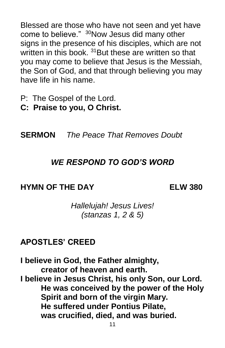Blessed are those who have not seen and yet have come to believe." <sup>30</sup>Now Jesus did many other signs in the presence of his disciples, which are not written in this book. <sup>31</sup> But these are written so that you may come to believe that Jesus is the Messiah, the Son of God, and that through believing you may have life in his name.

- P:The Gospel of the Lord.
- **C: Praise to you, O Christ.**

**SERMON** *The Peace That Removes Doubt* 

#### *WE RESPOND TO GOD'S WORD*

#### **HYMN OF THE DAY ELW 380**

*Hallelujah! Jesus Lives! (stanzas 1, 2 & 5)*

#### **APOSTLES' CREED**

**I believe in God, the Father almighty, creator of heaven and earth. I believe in Jesus Christ, his only Son, our Lord. He was conceived by the power of the Holy Spirit and born of the virgin Mary. He suffered under Pontius Pilate, was crucified, died, and was buried.**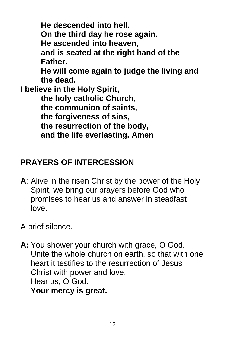**He descended into hell. On the third day he rose again. He ascended into heaven, and is seated at the right hand of the Father. He will come again to judge the living and the dead. I believe in the Holy Spirit, the holy catholic Church, the communion of saints, the forgiveness of sins, the resurrection of the body, and the life everlasting. Amen**

# **PRAYERS OF INTERCESSION**

- **A**: Alive in the risen Christ by the power of the Holy Spirit, we bring our prayers before God who promises to hear us and answer in steadfast love.
- A brief silence.
- **A:** You shower your church with grace, O God. Unite the whole church on earth, so that with one heart it testifies to the resurrection of Jesus Christ with power and love. Hear us, O God. **Your mercy is great.**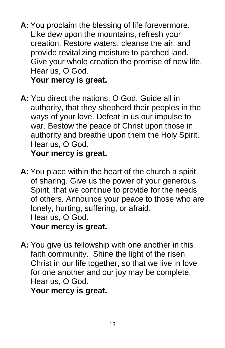- **A:** You proclaim the blessing of life forevermore. Like dew upon the mountains, refresh your creation. Restore waters, cleanse the air, and provide revitalizing moisture to parched land. Give your whole creation the promise of new life. Hear us, O God. **Your mercy is great.**
- **A:** You direct the nations, O God. Guide all in authority, that they shepherd their peoples in the ways of your love. Defeat in us our impulse to war. Bestow the peace of Christ upon those in authority and breathe upon them the Holy Spirit. Hear us, O God.

**Your mercy is great.**

- **A:** You place within the heart of the church a spirit of sharing. Give us the power of your generous Spirit, that we continue to provide for the needs of others. Announce your peace to those who are lonely, hurting, suffering, or afraid. Hear us, O God. **Your mercy is great.**
- **A:** You give us fellowship with one another in this faith community. Shine the light of the risen Christ in our life together, so that we live in love for one another and our joy may be complete. Hear us, O God.

**Your mercy is great.**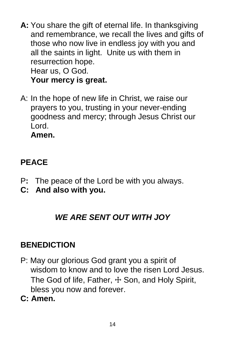**A:** You share the gift of eternal life. In thanksgiving and remembrance, we recall the lives and gifts of those who now live in endless joy with you and all the saints in light. Unite us with them in resurrection hope. Hear us, O God.

**Your mercy is great.**

A: In the hope of new life in Christ, we raise our prayers to you, trusting in your never-ending goodness and mercy; through Jesus Christ our Lord.

**Amen.**

# **PEACE**

- P**:** The peace of the Lord be with you always.
- **C: And also with you.**

# *WE ARE SENT OUT WITH JOY*

# **BENEDICTION**

- P: May our glorious God grant you a spirit of wisdom to know and to love the risen Lord Jesus. The God of life, Father,  $\pm$  Son, and Holy Spirit, bless you now and forever.
- **C: Amen.**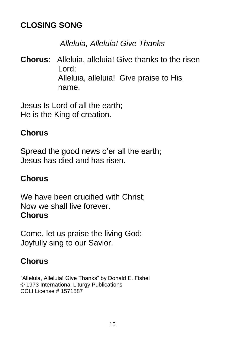# **CLOSING SONG**

## *Alleluia, Alleluia! Give Thanks*

**Chorus**: Alleluia, alleluia! Give thanks to the risen Lord; Alleluia, alleluia! Give praise to His name.

Jesus Is Lord of all the earth; He is the King of creation.

## **Chorus**

Spread the good news o'er all the earth; Jesus has died and has risen.

# **Chorus**

We have been crucified with Christ; Now we shall live forever. **Chorus**

Come, let us praise the living God; Joyfully sing to our Savior.

# **Chorus**

"Alleluia, Alleluia! Give Thanks" by Donald E. Fishel © 1973 International Liturgy Publications CCLI License # 1571587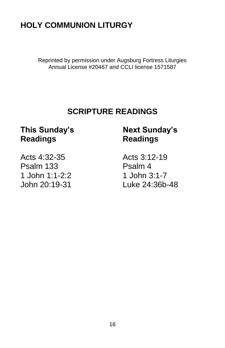# **HOLY COMMUNION LITURGY**

Reprinted by permission under Augsburg Fortress Liturgies Annual License #20467 and CCLI license 1571587

# **SCRIPTURE READINGS**

#### **This Sunday's Next Sunday's Readings Readings**

Acts 4:32-35 Acts 3:12-19 Psalm 133 Psalm 4 1 John 1:1-2:2 1 John 3:1-7

John 20:19-31 Luke 24:36b-48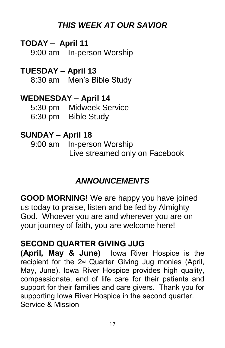# *THIS WEEK AT OUR SAVIOR*

## **TODAY – April 11**

9:00 am In-person Worship

# **TUESDAY – April 13**

8:30 am Men's Bible Study

#### **WEDNESDAY – April 14**

| 5:30 pm           | <b>Midweek Service</b> |
|-------------------|------------------------|
| $6:30 \text{ pm}$ | <b>Bible Study</b>     |

# **SUNDAY – April 18**

9:00 am In-person Worship Live streamed only on Facebook

# *ANNOUNCEMENTS*

**GOOD MORNING!** We are happy you have joined us today to praise, listen and be fed by Almighty God. Whoever you are and wherever you are on your journey of faith, you are welcome here!

# **SECOND QUARTER GIVING JUG**

**(April, May & June)** Iowa River Hospice is the recipient for the 2nd Quarter Giving Jug monies (April, May, June). Iowa River Hospice provides high quality, compassionate, end of life care for their patients and support for their families and care givers. Thank you for supporting Iowa River Hospice in the second quarter. Service & Mission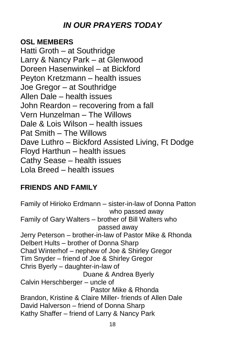# *IN OUR PRAYERS TODAY*

#### **OSL MEMBERS**

Hatti Groth – at Southridge Larry & Nancy Park – at Glenwood Doreen Hasenwinkel – at Bickford Peyton Kretzmann – health issues Joe Gregor – at Southridge Allen Dale – health issues John Reardon – recovering from a fall Vern Hunzelman – The Willows Dale & Lois Wilson – health issues Pat Smith – The Willows Dave Luthro – Bickford Assisted Living, Ft Dodge Floyd Harthun – health issues Cathy Sease – health issues Lola Breed – health issues

#### **FRIENDS AND FAMILY**

Family of Hirioko Erdmann – sister-in-law of Donna Patton who passed away Family of Gary Walters – brother of Bill Walters who passed away Jerry Peterson – brother-in-law of Pastor Mike & Rhonda Delbert Hults – brother of Donna Sharp Chad Winterhof – nephew of Joe & Shirley Gregor Tim Snyder – friend of Joe & Shirley Gregor Chris Byerly – daughter-in-law of Duane & Andrea Byerly Calvin Herschberger – uncle of Pastor Mike & Rhonda Brandon, Kristine & Claire Miller- friends of Allen Dale David Halverson – friend of Donna Sharp Kathy Shaffer – friend of Larry & Nancy Park